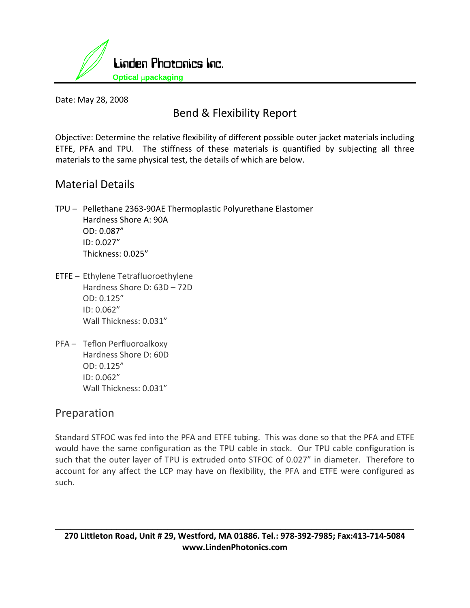

Date: May 28, 2008

# Bend & Flexibility Report

Objective: Determine the relative flexibility of different possible outer jacket materials including ETFE, PFA and TPU. The stiffness of these materials is quantified by subjecting all three materials to the same physical test, the details of which are below.

### Material Details

- TPU Pellethane 2363‐90AE Thermoplastic Polyurethane Elastomer Hardness Shore A: 90A OD: 0.087" ID: 0.027" Thickness: 0.025"
- ETFE Ethylene Tetrafluoroethylene Hardness Shore D: 63D – 72D OD: 0.125" ID: 0.062" Wall Thickness: 0.031"
- PFA Teflon Perfluoroalkoxy Hardness Shore D: 60D OD: 0.125" ID: 0.062" Wall Thickness: 0.031"

#### Preparation

Standard STFOC was fed into the PFA and ETFE tubing. This was done so that the PFA and ETFE would have the same configuration as the TPU cable in stock. Our TPU cable configuration is such that the outer layer of TPU is extruded onto STFOC of 0.027" in diameter. Therefore to account for any affect the LCP may have on flexibility, the PFA and ETFE were configured as such.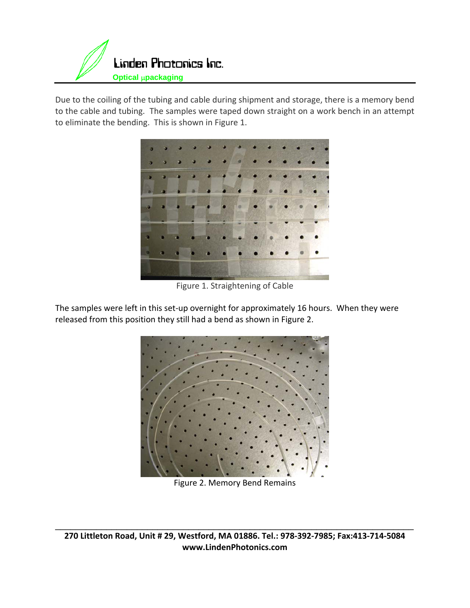

Due to the coiling of the tubing and cable during shipment and storage, there is a memory bend to the cable and tubing. The samples were taped down straight on a work bench in an attempt to eliminate the bending. This is shown in Figure 1.



Figure 1. Straightening of Cable

The samples were left in this set-up overnight for approximately 16 hours. When they were released from this position they still had a bend as shown in Figure 2.



Figure 2. Memory Bend Remains

270 Littleton Road, Unit # 29, Westford, MA 01886. Tel.: 978-392-7985; Fax:413-714-5084 **www.LindenPhotonics.com**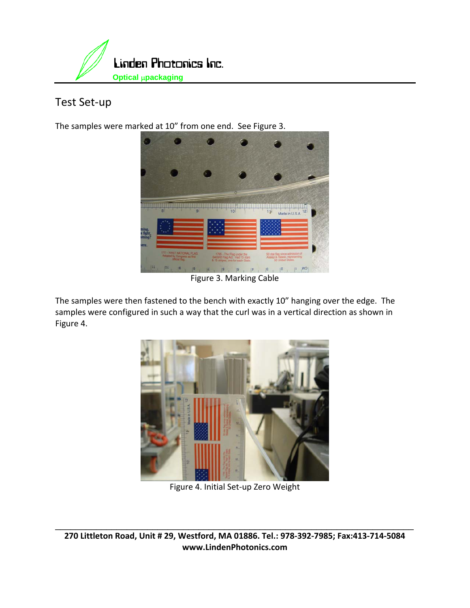

# Test Set‐up

The samples were marked at 10" from one end. See Figure 3.



Figure 3. Marking Cable

The samples were then fastened to the bench with exactly 10" hanging over the edge. The samples were configured in such a way that the curl was in a vertical direction as shown in Figure 4.



Figure 4. Initial Set‐up Zero Weight

270 Littleton Road, Unit # 29, Westford, MA 01886. Tel.: 978-392-7985; Fax:413-714-5084 **www.LindenPhotonics.com**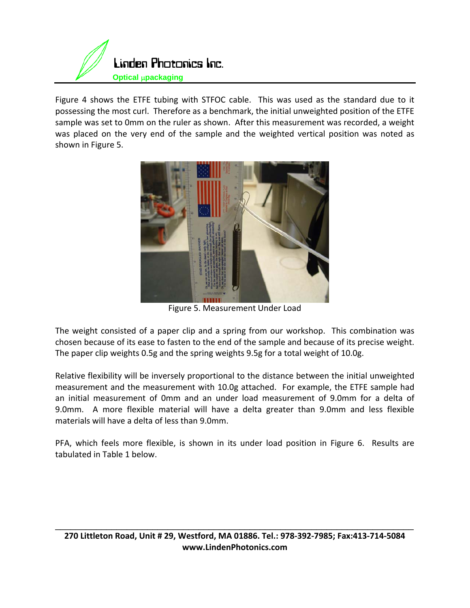

Figure 4 shows the ETFE tubing with STFOC cable. This was used as the standard due to it possessing the most curl. Therefore as a benchmark, the initial unweighted position of the ETFE sample was set to 0mm on the ruler as shown. After this measurement was recorded, a weight was placed on the very end of the sample and the weighted vertical position was noted as shown in Figure 5.



Figure 5. Measurement Under Load

The weight consisted of a paper clip and a spring from our workshop. This combination was chosen because of its ease to fasten to the end of the sample and because of its precise weight. The paper clip weights 0.5g and the spring weights 9.5g for a total weight of 10.0g.

Relative flexibility will be inversely proportional to the distance between the initial unweighted measurement and the measurement with 10.0g attached. For example, the ETFE sample had an initial measurement of 0mm and an under load measurement of 9.0mm for a delta of 9.0mm. A more flexible material will have a delta greater than 9.0mm and less flexible materials will have a delta of less than 9.0mm.

PFA, which feels more flexible, is shown in its under load position in Figure 6. Results are tabulated in Table 1 below.

270 Littleton Road, Unit # 29, Westford, MA 01886. Tel.: 978-392-7985; Fax:413-714-5084 **www.LindenPhotonics.com**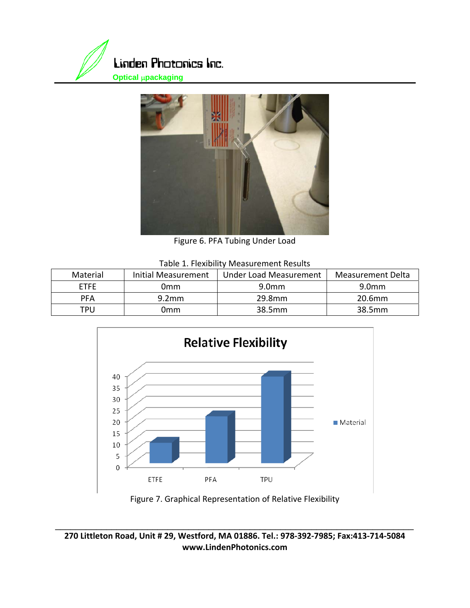



Figure 6. PFA Tubing Under Load

| Table 1. Flexibility Measurement Results |
|------------------------------------------|
|------------------------------------------|

| Material    | Initial Measurement | <b>Under Load Measurement</b> | Measurement Delta |
|-------------|---------------------|-------------------------------|-------------------|
| <b>FTFF</b> | 0mm                 | 9.0 <sub>mm</sub>             | 9.0 <sub>mm</sub> |
| <b>PFA</b>  | 9.2 <sub>mm</sub>   | 29.8mm                        | 20.6mm            |
| TPU         | 0mm                 | 38.5mm                        | 38.5mm            |



Figure 7. Graphical Representation of Relative Flexibility

270 Littleton Road, Unit # 29, Westford, MA 01886. Tel.: 978-392-7985; Fax:413-714-5084 **www.LindenPhotonics.com**